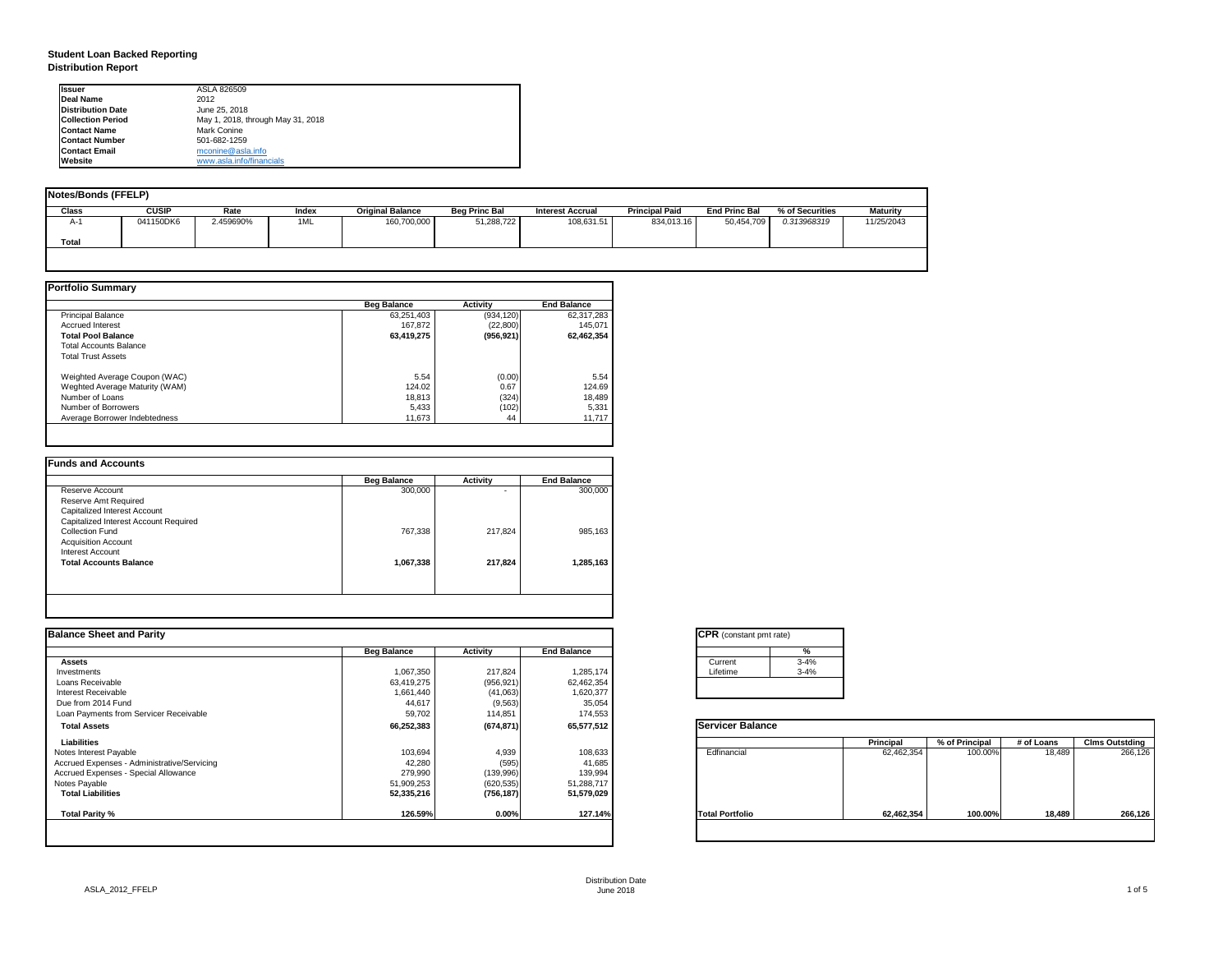## **Student Loan Backed Reporting Distribution Report**

| <b>Notes/Bonds (FFELP)</b> |              |           |       |                         |                      |                         |                       |                      |                 |            |
|----------------------------|--------------|-----------|-------|-------------------------|----------------------|-------------------------|-----------------------|----------------------|-----------------|------------|
| <b>Class</b>               | <b>CUSIP</b> | Rate      | Index | <b>Original Balance</b> | <b>Beg Princ Bal</b> | <b>Interest Accrual</b> | <b>Principal Paid</b> | <b>End Princ Bal</b> | % of Securities | Maturity   |
| A-1                        | 041150DK6    | 2.459690% | 1ML   | 160,700,000             | 51,288,722           | 108,631.51              | 834,013.16            | 50,454,709           | 0.313968319     | 11/25/2043 |
| <b>Total</b>               |              |           |       |                         |                      |                         |                       |                      |                 |            |
|                            |              |           |       |                         |                      |                         |                       |                      |                 |            |

|                                | <b>Beg Balance</b> | <b>Activity</b> | <b>End Balance</b> |
|--------------------------------|--------------------|-----------------|--------------------|
| <b>Principal Balance</b>       | 63,251,403         | (934, 120)      | 62,317,283         |
| <b>Accrued Interest</b>        | 167,872            | (22, 800)       | 145,071            |
| <b>Total Pool Balance</b>      | 63,419,275         | (956, 921)      | 62,462,354         |
| <b>Total Accounts Balance</b>  |                    |                 |                    |
| <b>Total Trust Assets</b>      |                    |                 |                    |
| Weighted Average Coupon (WAC)  | 5.54               | (0.00)          | 5.54               |
| Weghted Average Maturity (WAM) | 124.02             | 0.67            | 124.69             |
| Number of Loans                | 18,813             | (324)           | 18,489             |
| Number of Borrowers            | 5,433              | (102)           | 5,331              |
| Average Borrower Indebtedness  | 11,673             | 44              | 11,717             |

|                                       | <b>Beg Balance</b> | <b>Activity</b>          | <b>End Balance</b> |
|---------------------------------------|--------------------|--------------------------|--------------------|
| Reserve Account                       | 300,000            | $\overline{\phantom{0}}$ | 300,000            |
| <b>Reserve Amt Required</b>           |                    |                          |                    |
| <b>Capitalized Interest Account</b>   |                    |                          |                    |
| Capitalized Interest Account Required |                    |                          |                    |
| <b>Collection Fund</b>                | 767,338            | 217,824                  | 985,163            |
| <b>Acquisition Account</b>            |                    |                          |                    |
| <b>Interest Account</b>               |                    |                          |                    |
| <b>Total Accounts Balance</b>         | 1,067,338          | 217,824                  | 1,285,163          |
|                                       |                    |                          |                    |

| tant pmt rate) |          |
|----------------|----------|
|                | $\%$     |
|                | $3 - 4%$ |
|                | $3 - 4%$ |
|                |          |
|                |          |

|      | <b>Principal</b> | % of Principal | # of Loans | <b>Clms Outstding</b> |  |  |
|------|------------------|----------------|------------|-----------------------|--|--|
| аı   | 62,462,354       | 100.00%        | 18,489     | 266,126               |  |  |
| oilo | 62,462,354       | 100.00%        | 18,489     | 266,126               |  |  |

| <b>Ilssuer</b>           | ASLA 826509                       |
|--------------------------|-----------------------------------|
| <b>IDeal Name</b>        | 2012                              |
| <b>Distribution Date</b> | June 25, 2018                     |
| <b>Collection Period</b> | May 1, 2018, through May 31, 2018 |
| <b>IContact Name</b>     | <b>Mark Conine</b>                |
| <b>IContact Number</b>   | 501-682-1259                      |
| <b>Contact Email</b>     | mconine@asla.info                 |
| <b>IWebsite</b>          | www.asla.info/financials          |

| <b>Balance Sheet and Parity</b>             |                    |                 |                    | <b>CPR</b> (constant pmt rate) |          |                  |                |            |                       |
|---------------------------------------------|--------------------|-----------------|--------------------|--------------------------------|----------|------------------|----------------|------------|-----------------------|
|                                             | <b>Beg Balance</b> | <b>Activity</b> | <b>End Balance</b> |                                |          |                  |                |            |                       |
| <b>Assets</b>                               |                    |                 |                    | Current                        | $3 - 4%$ |                  |                |            |                       |
| Investments                                 | 1,067,350          | 217,824         | 1,285,174          | Lifetime                       | $3 - 4%$ |                  |                |            |                       |
| Loans Receivable                            | 63,419,275         | (956, 921)      | 62,462,354         |                                |          |                  |                |            |                       |
| Interest Receivable                         | 1,661,440          | (41,063)        | 1,620,377          |                                |          |                  |                |            |                       |
| Due from 2014 Fund                          | 44,617             | (9, 563)        | 35,054             |                                |          |                  |                |            |                       |
| Loan Payments from Servicer Receivable      | 59,702             | 114,851         | 174,553            |                                |          |                  |                |            |                       |
| <b>Total Assets</b>                         | 66,252,383         | (674, 871)      | 65,577,512         | <b>Servicer Balance</b>        |          |                  |                |            |                       |
| <b>Liabilities</b>                          |                    |                 |                    |                                |          | <b>Principal</b> | % of Principal | # of Loans | <b>Clms Outstding</b> |
| Notes Interest Payable                      | 103,694            | 4,939           | 108,633            | Edfinancial                    |          | 62,462,354       | 100.00%        | 18,489     | 266,126               |
| Accrued Expenses - Administrative/Servicing | 42,280             | (595)           | 41,685             |                                |          |                  |                |            |                       |
| Accrued Expenses - Special Allowance        | 279,990            | (139,996)       | 139,994            |                                |          |                  |                |            |                       |
| Notes Payable                               | 51,909,253         | (620, 535)      | 51,288,717         |                                |          |                  |                |            |                       |
| <b>Total Liabilities</b>                    | 52,335,216         | (756, 187)      | 51,579,029         |                                |          |                  |                |            |                       |
| <b>Total Parity %</b>                       | 126.59%            | 0.00%           | 127.14%            | <b>Total Portfolio</b>         |          | 62,462,354       | 100.00%        | 18,489     | 266,126               |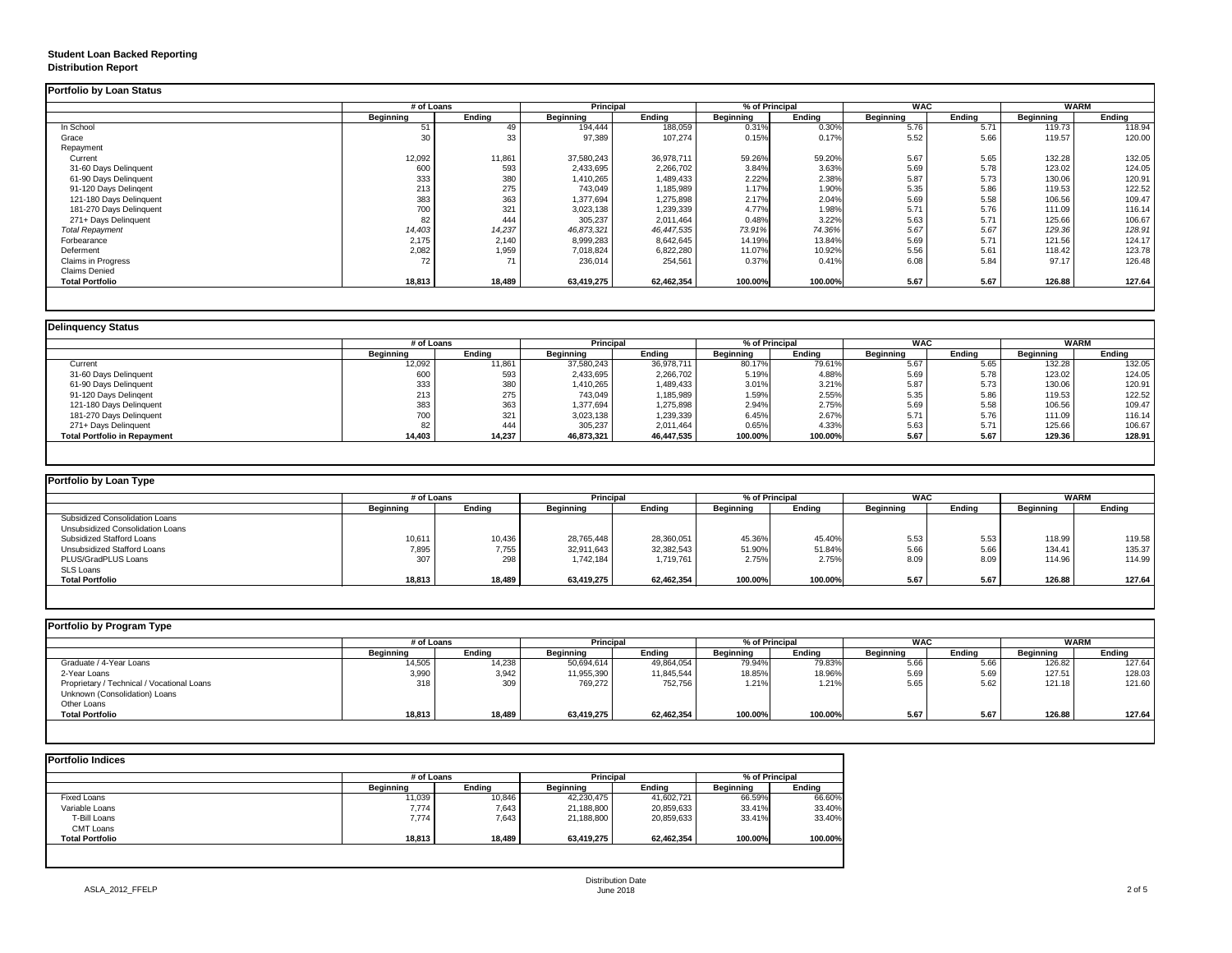## **Student Loan Backed Reporting Distribution Report**

### **Delinquency Status**

|                           | # of Loans       |               | <b>Principal</b> |               | % of Principal   |               | <b>WAC</b>       |               | <b>WARM</b>      |               |
|---------------------------|------------------|---------------|------------------|---------------|------------------|---------------|------------------|---------------|------------------|---------------|
|                           | <b>Beginning</b> | <b>Ending</b> | <b>Beginning</b> | <b>Ending</b> | <b>Beginning</b> | <b>Ending</b> | <b>Beginning</b> | <b>Ending</b> | <b>Beginning</b> | <b>Ending</b> |
| In School                 | 51               | 49            | 194,444          | 188,059       | 0.31%            | 0.30%         | 5.76             | 5.71          | 119.73           | 118.94        |
| Grace                     | 30               | 33            | 97,389           | 107,274       | 0.15%            | 0.17%         | 5.52             | 5.66          | 119.57           | 120.00        |
| Repayment                 |                  |               |                  |               |                  |               |                  |               |                  |               |
| Current                   | 12,092           | 11,861        | 37,580,243       | 36,978,711    | 59.26%           | 59.20%        | 5.67             | 5.65          | 132.28           | 132.05        |
| 31-60 Days Delinquent     | 600              | 593           | 2,433,695        | 2,266,702     | 3.84%            | 3.63%         | 5.69             | 5.78          | 123.02           | 124.05        |
| 61-90 Days Delinquent     | 333              | 380           | 1,410,265        | 1,489,433     | 2.22%            | 2.38%         | 5.87             | 5.73          | 130.06           | 120.91        |
| 91-120 Days Delingent     | 213              | 275           | 743,049          | 1,185,989     | 1.17%            | 1.90%         | 5.35             | 5.86          | 119.53           | 122.52        |
| 121-180 Days Delinquent   | 383              | 363           | 1,377,694        | 1,275,898     | 2.17%            | 2.04%         | 5.69             | 5.58          | 106.56           | 109.47        |
| 181-270 Days Delinquent   | 700              | 321           | 3,023,138        | 1,239,339     | 4.77%            | 1.98%         | 5.71             | 5.76          | 111.09           | 116.14        |
| 271+ Days Delinquent      | 82               | 444           | 305,237          | 2,011,464     | 0.48%            | 3.22%         | 5.63             | 5.71          | 125.66           | 106.67        |
| <b>Total Repayment</b>    | 14,403           | 14,237        | 46,873,321       | 46,447,535    | 73.91%           | 74.36%        | 5.67             | 5.67          | 129.36           | 128.91        |
| Forbearance               | 2,175            | 2,140         | 8,999,283        | 8,642,645     | 14.19%           | 13.84%        | 5.69             | 5.71          | 121.56           | 124.17        |
| Deferment                 | 2,082            | 1,959         | 7,018,824        | 6,822,280     | 11.07%           | 10.92%        | 5.56             | 5.61          | 118.42           | 123.78        |
| <b>Claims in Progress</b> | 72               | 71            | 236,014          | 254,561       | 0.37%            | 0.41%         | 6.08             | 5.84          | 97.17            | 126.48        |
| <b>Claims Denied</b>      |                  |               |                  |               |                  |               |                  |               |                  |               |
| <b>Total Portfolio</b>    | 18,813           | 18,489        | 63,419,275       | 62,462,354    | 100.00%          | 100.00%       | 5.67             | 5.67          | 126.88           | 127.64        |

|                                     | # of Loans       |               | <b>Principal</b> |               | % of Principal   |               | <b>WAC</b>       |               | <b>WARM</b>      |               |
|-------------------------------------|------------------|---------------|------------------|---------------|------------------|---------------|------------------|---------------|------------------|---------------|
|                                     | <b>Beginning</b> | <b>Ending</b> | <b>Beginning</b> | <b>Ending</b> | <b>Beginning</b> | <b>Ending</b> | <b>Beginning</b> | <b>Ending</b> | <b>Beginning</b> | <b>Ending</b> |
| Current                             | 12,092           | 11,861        | 37,580,243       | 36,978,711    | 80.17%           | 79.61%        | 5.67             | 5.65          | 132.28           | 132.05        |
| 31-60 Days Delinquent               | 600              | 593           | 2,433,695        | 2,266,702     | 5.19%            | 4.88%         | 5.69             | 5.78          | 123.02           | 124.05        |
| 61-90 Days Delinquent               | 333              | 380           | 1,410,265        | 1,489,433     | 3.01%            | 3.21%         | 5.87             | 5.73          | 130.06           | 120.91        |
| 91-120 Days Delinqent               | 213              | 275           | 743,049          | ,185,989      | 1.59%            | 2.55%         | 5.35             | 5.86          | 119.53           | 122.52        |
| 121-180 Days Delinquent             | 383              | 363           | 1,377,694        | 1,275,898     | 2.94%            | 2.75%         | 5.69             | 5.58          | 106.56           | 109.47        |
| 181-270 Days Delinquent             | 700              | 321           | 3,023,138        | 1,239,339     | 6.45%            | 2.67%         | 5.71             | 5.76          | 111.09           | 116.14        |
| 271+ Days Delinquent                | 82               | 444           | 305,237          | 2,011,464     | 0.65%            | 4.33%         | 5.63             | 5.71          | 125.66           | 106.67        |
| <b>Total Portfolio in Repayment</b> | 14,403           | 14,237        | 46,873,321       | 46,447,535    | 100.00%          | 100.00%       | 5.67             | 5.67          | 129.36           | 128.91        |

| Portfolio by Loan Type                |                  |               |                  |               |                  |               |                  |        |                  |        |
|---------------------------------------|------------------|---------------|------------------|---------------|------------------|---------------|------------------|--------|------------------|--------|
|                                       | # of Loans       |               | <b>Principal</b> |               | % of Principal   |               | <b>WAC</b>       |        | WARM             |        |
|                                       | <b>Beginning</b> | <b>Ending</b> | <b>Beginning</b> | <b>Ending</b> | <b>Beginning</b> | <b>Ending</b> | <b>Beginning</b> | Ending | <b>Beginning</b> | Ending |
| <b>Subsidized Consolidation Loans</b> |                  |               |                  |               |                  |               |                  |        |                  |        |
| Unsubsidized Consolidation Loans      |                  |               |                  |               |                  |               |                  |        |                  |        |
| <b>Subsidized Stafford Loans</b>      | 10,611           | 10,436        | 28,765,448       | 28,360,051    | 45.36%           | 45.40%        | 5.53             | 5.53   | 118.99           | 119.58 |
| <b>Unsubsidized Stafford Loans</b>    | 7,895            | 7,755         | 32,911,643       | 32,382,543    | 51.90%           | 51.84%        | 5.66             | 5.66   | 134.41           | 135.37 |
| <b>PLUS/GradPLUS Loans</b>            | 307              | 298           | 1,742,184        | 1,719,761     | 2.75%            | 2.75%         | 8.09             | 8.09   | 114.96           | 114.99 |
| <b>SLS Loans</b>                      |                  |               |                  |               |                  |               |                  |        |                  |        |
| <b>Total Portfolio</b>                | 18,813           | 18,489        | 63,419,275       | 62,462,354    | 100.00%          | 100.00%       | 5.67             | 5.67   | 126.88           | 127.64 |

| <b>Portfolio by Program Type</b>           |                  |               |                  |                  |                  |               |                  |               |                  |               |
|--------------------------------------------|------------------|---------------|------------------|------------------|------------------|---------------|------------------|---------------|------------------|---------------|
|                                            |                  | # of Loans    |                  | <b>Principal</b> | % of Principal   |               | <b>WAC</b>       |               | <b>WARM</b>      |               |
|                                            | <b>Beginning</b> | <b>Ending</b> | <b>Beginning</b> | <b>Ending</b>    | <b>Beginning</b> | <b>Ending</b> | <b>Beginning</b> | <b>Ending</b> | <b>Beginning</b> | <b>Ending</b> |
| Graduate / 4-Year Loans                    | 14,505           | 14,238        | 50,694,614       | 49,864,054       | 79.94%           | 79.83%        | 5.66             | 5.66          | 126.82           | 127.64        |
| 2-Year Loans                               | 3,990            | 3,942         | 11,955,390       | 11,845,544       | 18.85%           | 18.96%        | 5.69             | 5.69          | 127.51           | 128.03        |
| Proprietary / Technical / Vocational Loans | 318              | 309           | 769,272          | 752,756          | 1.21%            | 1.21%         | 5.65             | 5.62          | 121.18           | 121.60        |
| Unknown (Consolidation) Loans              |                  |               |                  |                  |                  |               |                  |               |                  |               |
| Other Loans                                |                  |               |                  |                  |                  |               |                  |               |                  |               |
| <b>Total Portfolio</b>                     | 18,813           | 18,489        | 63,419,275       | 62,462,354       | 100.00%          | 100.00%       | 5.67             | 5.67          | 126.88           | 127.64        |
|                                            |                  |               |                  |                  |                  |               |                  |               |                  |               |

|                        | # of Loans       |               | <b>Principal</b> |               | % of Principal   |               |  |
|------------------------|------------------|---------------|------------------|---------------|------------------|---------------|--|
|                        | <b>Beginning</b> | <b>Ending</b> | <b>Beginning</b> | <b>Ending</b> | <b>Beginning</b> | <b>Ending</b> |  |
| <b>Fixed Loans</b>     | 11,039           | 10,846        | 42,230,475       | 41,602,721    | 66.59%           | 66.60%        |  |
| Variable Loans         | 7,774            | 7,643         | 21,188,800       | 20,859,633    | 33.41%           | 33.40%        |  |
| T-Bill Loans           | 7,774            | 7,643         | 21,188,800       | 20,859,633    | 33.41%           | 33.40%        |  |
| <b>CMT Loans</b>       |                  |               |                  |               |                  |               |  |
| <b>Total Portfolio</b> | 18,813           | 18,489        | 63,419,275       | 62,462,354    | 100.00%          | 100.00%       |  |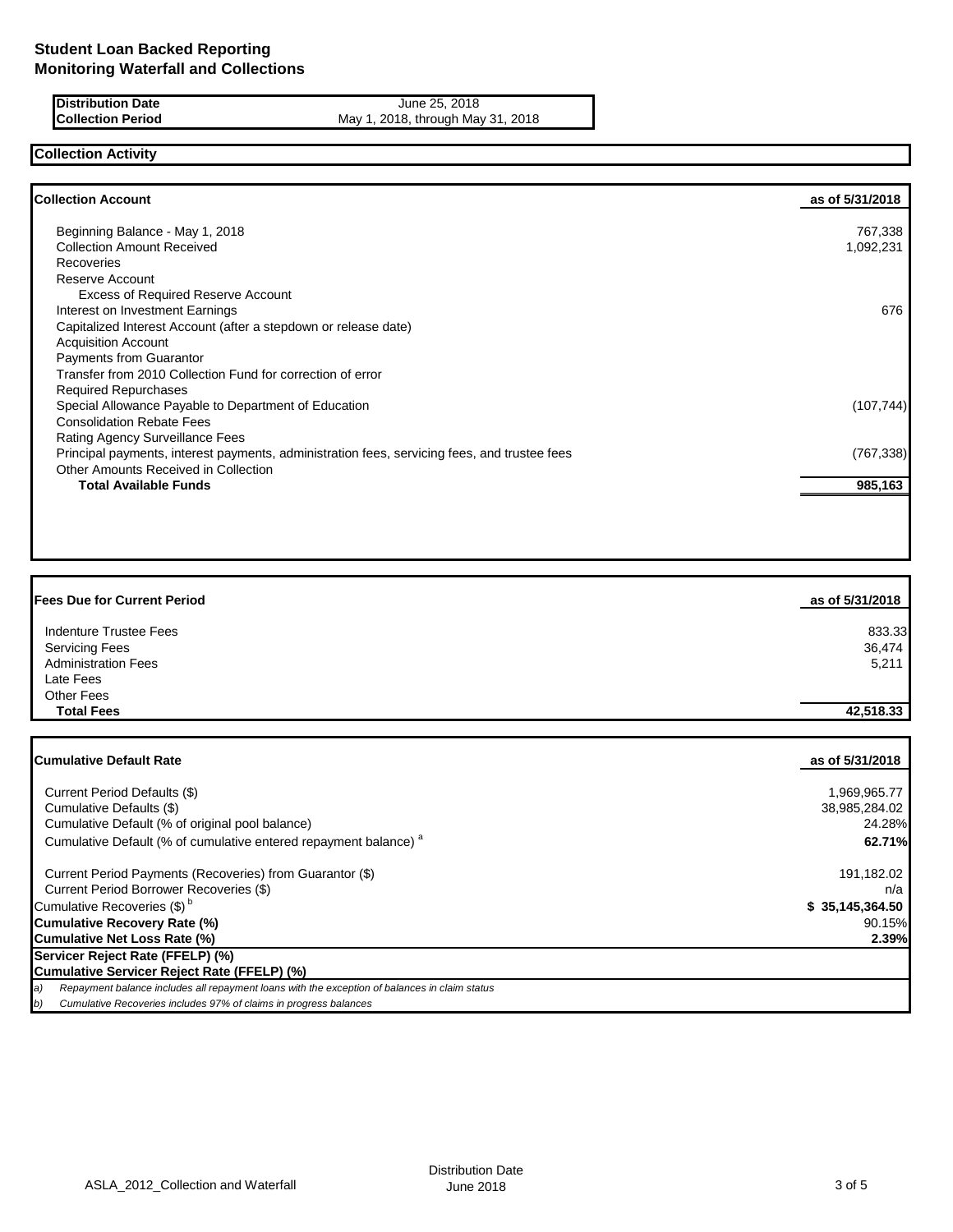**Distribution Date** June 25, 2018<br>**Collection Period** May 1, 2018, through May<br>**May 1, 2018**, through May May 1, 2018, through May 31, 2018

# **Collection Activity**

| <b>Collection Account</b>                                                                    | as of 5/31/2018 |
|----------------------------------------------------------------------------------------------|-----------------|
| Beginning Balance - May 1, 2018                                                              | 767,338         |
| <b>Collection Amount Received</b>                                                            | 1,092,231       |
| Recoveries                                                                                   |                 |
| Reserve Account                                                                              |                 |
| <b>Excess of Required Reserve Account</b>                                                    |                 |
| Interest on Investment Earnings                                                              | 676             |
| Capitalized Interest Account (after a stepdown or release date)                              |                 |
| <b>Acquisition Account</b>                                                                   |                 |
| <b>Payments from Guarantor</b>                                                               |                 |
| Transfer from 2010 Collection Fund for correction of error                                   |                 |
| <b>Required Repurchases</b>                                                                  |                 |
| Special Allowance Payable to Department of Education                                         | (107, 744)      |
| <b>Consolidation Rebate Fees</b>                                                             |                 |
| <b>Rating Agency Surveillance Fees</b>                                                       |                 |
| Principal payments, interest payments, administration fees, servicing fees, and trustee fees | (767, 338)      |
| Other Amounts Received in Collection                                                         |                 |
| <b>Total Available Funds</b>                                                                 | 985,163         |

| <b>Fees Due for Current Period</b> | as of 5/31/2018 |
|------------------------------------|-----------------|
| <b>Indenture Trustee Fees</b>      | 833.33          |
| <b>Servicing Fees</b>              | 36,474          |
| <b>Administration Fees</b>         | 5,211           |
| Late Fees                          |                 |
| Other Fees                         |                 |
| <b>Total Fees</b>                  | 42,518.33       |

| <b>Cumulative Default Rate</b>                                                                       | as of 5/31/2018 |
|------------------------------------------------------------------------------------------------------|-----------------|
| Current Period Defaults (\$)                                                                         | 1,969,965.77    |
| Cumulative Defaults (\$)                                                                             | 38,985,284.02   |
| Cumulative Default (% of original pool balance)                                                      | 24.28%          |
| Cumulative Default (% of cumulative entered repayment balance) <sup>a</sup>                          | 62.71%          |
| Current Period Payments (Recoveries) from Guarantor (\$)                                             | 191,182.02      |
| Current Period Borrower Recoveries (\$)                                                              | n/a             |
| Cumulative Recoveries (\$) <sup>b</sup>                                                              | \$35,145,364.50 |
| Cumulative Recovery Rate (%)                                                                         | 90.15%          |
| Cumulative Net Loss Rate (%)                                                                         | 2.39%           |
| Servicer Reject Rate (FFELP) (%)                                                                     |                 |
| Cumulative Servicer Reject Rate (FFELP) (%)                                                          |                 |
| Repayment balance includes all repayment loans with the exception of balances in claim status<br> a) |                 |
| Cumulative Recoveries includes 97% of claims in progress balances<br>b)                              |                 |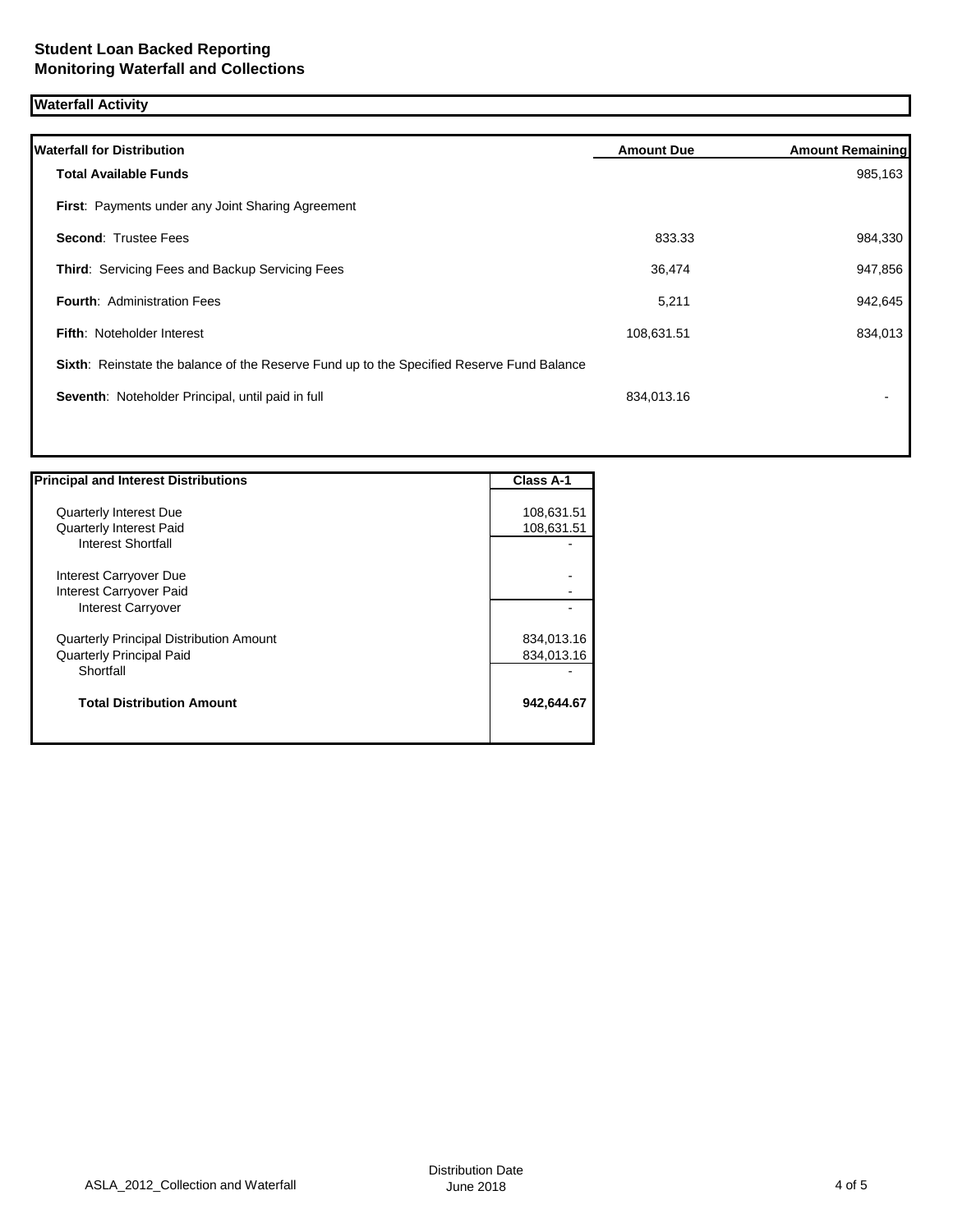## **Waterfall Activity**

| <b>Waterfall for Distribution</b>                                                         | <b>Amount Due</b> | <b>Amount Remaining</b> |
|-------------------------------------------------------------------------------------------|-------------------|-------------------------|
| <b>Total Available Funds</b>                                                              |                   | 985,163                 |
| First: Payments under any Joint Sharing Agreement                                         |                   |                         |
| <b>Second: Trustee Fees</b>                                                               | 833.33            | 984,330                 |
| Third: Servicing Fees and Backup Servicing Fees                                           | 36,474            | 947,856                 |
| <b>Fourth: Administration Fees</b>                                                        | 5,211             | 942,645                 |
| <b>Fifth: Noteholder Interest</b>                                                         | 108,631.51        | 834,013                 |
| Sixth: Reinstate the balance of the Reserve Fund up to the Specified Reserve Fund Balance |                   |                         |
| Seventh: Noteholder Principal, until paid in full                                         | 834,013.16        |                         |
|                                                                                           |                   |                         |

| <b>Principal and Interest Distributions</b>    | <b>Class A-1</b> |
|------------------------------------------------|------------------|
|                                                |                  |
| <b>Quarterly Interest Due</b>                  | 108,631.51       |
| <b>Quarterly Interest Paid</b>                 | 108,631.51       |
| Interest Shortfall                             |                  |
|                                                |                  |
| Interest Carryover Due                         |                  |
| Interest Carryover Paid                        |                  |
| Interest Carryover                             |                  |
| <b>Quarterly Principal Distribution Amount</b> | 834,013.16       |
| <b>Quarterly Principal Paid</b>                | 834,013.16       |
| Shortfall                                      |                  |
|                                                |                  |
| <b>Total Distribution Amount</b>               | 942,644.67       |
|                                                |                  |
|                                                |                  |